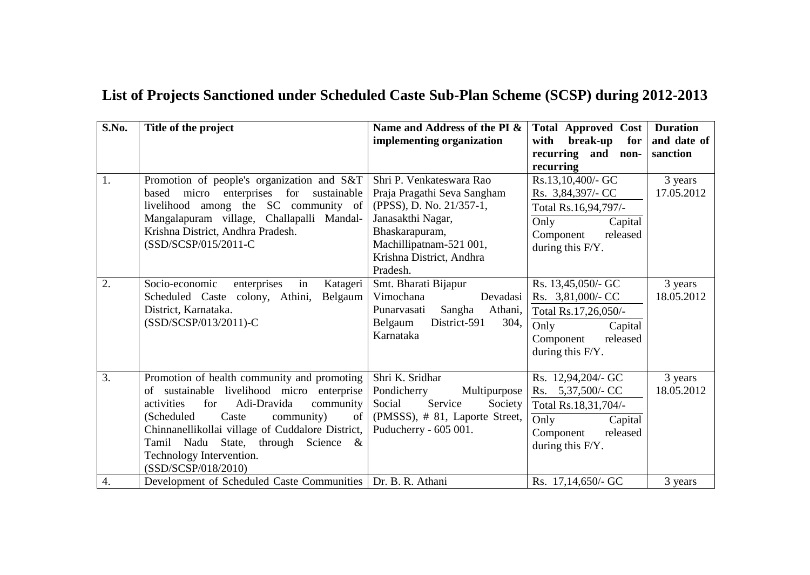## **List of Projects Sanctioned under Scheduled Caste Sub-Plan Scheme (SCSP) during 2012-2013**

| S.No. | Title of the project                                                                                                                                                                                                                                                                                                                 | Name and Address of the PI &<br>implementing organization                                                                                                                                     | <b>Total Approved Cost</b><br>break-up<br>with<br>for<br>recurring and non-<br>recurring                                        | <b>Duration</b><br>and date of<br>sanction |
|-------|--------------------------------------------------------------------------------------------------------------------------------------------------------------------------------------------------------------------------------------------------------------------------------------------------------------------------------------|-----------------------------------------------------------------------------------------------------------------------------------------------------------------------------------------------|---------------------------------------------------------------------------------------------------------------------------------|--------------------------------------------|
| 1.    | Promotion of people's organization and S&T<br>based micro enterprises for sustainable<br>livelihood among the SC community of<br>Mangalapuram village, Challapalli Mandal-<br>Krishna District, Andhra Pradesh.<br>(SSD/SCSP/015/2011-C                                                                                              | Shri P. Venkateswara Rao<br>Praja Pragathi Seva Sangham<br>(PPSS), D. No. 21/357-1,<br>Janasakthi Nagar,<br>Bhaskarapuram,<br>Machillipatnam-521 001,<br>Krishna District, Andhra<br>Pradesh. | Rs.13,10,400/- GC<br>Rs. 3,84,397/- CC<br>Total Rs.16,94,797/-<br>Only<br>Capital<br>Component<br>released<br>during this F/Y.  | 3 years<br>17.05.2012                      |
| 2.    | Socio-economic<br>enterprises<br>in<br>Katageri<br>Scheduled Caste colony, Athini,<br>Belgaum<br>District, Karnataka.<br>(SSD/SCSP/013/2011)-C                                                                                                                                                                                       | Smt. Bharati Bijapur<br>Devadasi<br>Vimochana<br>Sangha<br>Punarvasati<br>Athani,<br>District-591<br>304,<br>Belgaum<br>Karnataka                                                             | Rs. 13,45,050/- GC<br>Rs. 3,81,000/- CC<br>Total Rs.17,26,050/-<br>Only<br>Capital<br>Component<br>released<br>during this F/Y. | 3 years<br>18.05.2012                      |
| 3.    | Promotion of health community and promoting<br>of sustainable livelihood micro enterprise<br>for<br>Adi-Dravida<br>activities<br>community<br>(Scheduled)<br>Caste<br>community)<br>of<br>Chinnanellikollai village of Cuddalore District,<br>Tamil Nadu State, through Science &<br>Technology Intervention.<br>(SSD/SCSP/018/2010) | Shri K. Sridhar<br>Pondicherry<br>Multipurpose<br>Social<br>Service<br>Society<br>(PMSSS), # 81, Laporte Street,<br>Puducherry - 605 001.                                                     | Rs. 12,94,204/- GC<br>Rs. 5,37,500/- CC<br>Total Rs.18,31,704/-<br>Only<br>Capital<br>Component<br>released<br>during this F/Y. | 3 years<br>18.05.2012                      |
| 4.    | Development of Scheduled Caste Communities   Dr. B. R. Athani                                                                                                                                                                                                                                                                        |                                                                                                                                                                                               | Rs. 17,14,650/- GC                                                                                                              | 3 years                                    |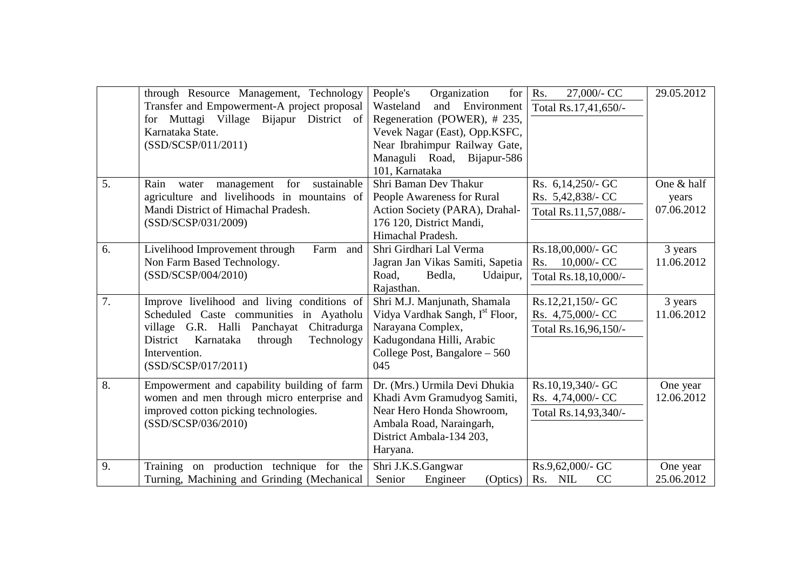|    | through Resource Management, Technology<br>Transfer and Empowerment-A project proposal<br>for Muttagi Village Bijapur District of<br>Karnataka State.<br>(SSD/SCSP/011/2011)                                                    | Organization<br>People's<br>for<br>Wasteland<br>and<br>Environment<br>Regeneration (POWER), # 235,<br>Vevek Nagar (East), Opp.KSFC,<br>Near Ibrahimpur Railway Gate,<br>Managuli Road, Bijapur-586<br>101, Karnataka | 27,000/- CC<br>Rs.<br>Total Rs.17,41,650/-                         | 29.05.2012                        |
|----|---------------------------------------------------------------------------------------------------------------------------------------------------------------------------------------------------------------------------------|----------------------------------------------------------------------------------------------------------------------------------------------------------------------------------------------------------------------|--------------------------------------------------------------------|-----------------------------------|
| 5. | sustainable<br>management<br>for<br>Rain<br>water<br>agriculture and livelihoods in mountains of<br>Mandi District of Himachal Pradesh.<br>(SSD/SCSP/031/2009)                                                                  | Shri Baman Dev Thakur<br>People Awareness for Rural<br>Action Society (PARA), Drahal-<br>176 120, District Mandi,<br>Himachal Pradesh.                                                                               | Rs. 6,14,250/- GC<br>Rs. 5,42,838/- CC<br>Total Rs.11,57,088/-     | One & half<br>years<br>07.06.2012 |
| 6. | Livelihood Improvement through<br>Farm and<br>Non Farm Based Technology.<br>(SSD/SCSP/004/2010)                                                                                                                                 | Shri Girdhari Lal Verma<br>Jagran Jan Vikas Samiti, Sapetia<br>Road,<br>Bedla,<br>Udaipur,<br>Rajasthan.                                                                                                             | Rs.18,00,000/- GC<br>$10,000/$ - CC<br>Rs.<br>Total Rs.18,10,000/- | 3 years<br>11.06.2012             |
| 7. | Improve livelihood and living conditions of<br>Scheduled Caste communities in Ayatholu<br>village G.R. Halli Panchayat<br>Chitradurga<br>Karnataka<br>through<br>Technology<br>District<br>Intervention.<br>(SSD/SCSP/017/2011) | Shri M.J. Manjunath, Shamala<br>Vidya Vardhak Sangh, I <sup>st</sup> Floor,<br>Narayana Complex,<br>Kadugondana Hilli, Arabic<br>College Post, Bangalore $-560$<br>045                                               | Rs.12,21,150/- GC<br>Rs. 4,75,000/- CC<br>Total Rs.16,96,150/-     | 3 years<br>11.06.2012             |
| 8. | Empowerment and capability building of farm<br>women and men through micro enterprise and<br>improved cotton picking technologies.<br>(SSD/SCSP/036/2010)                                                                       | Dr. (Mrs.) Urmila Devi Dhukia<br>Khadi Avm Gramudyog Samiti,<br>Near Hero Honda Showroom,<br>Ambala Road, Naraingarh,<br>District Ambala-134 203,<br>Haryana.                                                        | Rs.10,19,340/- GC<br>Rs. 4,74,000/- CC<br>Total Rs.14,93,340/-     | One year<br>12.06.2012            |
| 9. | Training on production technique for the<br>Turning, Machining and Grinding (Mechanical                                                                                                                                         | Shri J.K.S.Gangwar<br>Senior<br>Engineer<br>(Optics)                                                                                                                                                                 | Rs.9,62,000/- GC<br>Rs. NIL<br>CC                                  | One year<br>25.06.2012            |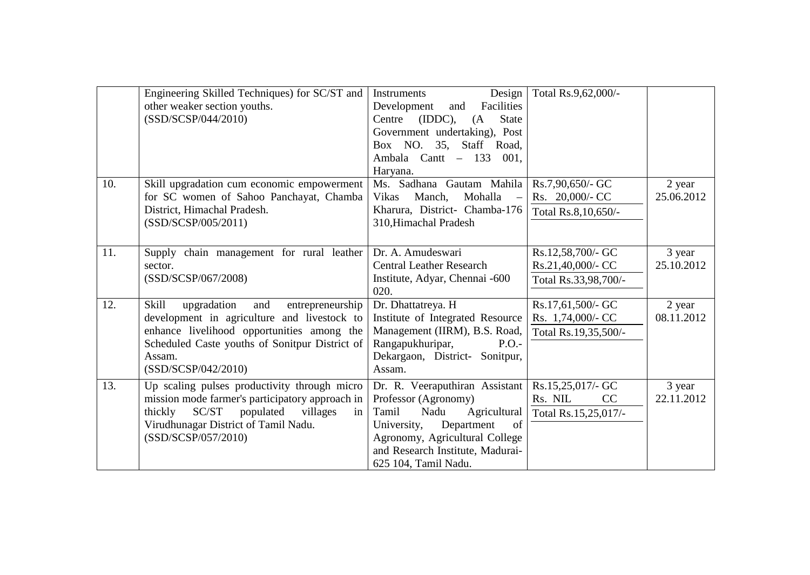|     | Engineering Skilled Techniques) for SC/ST and<br>other weaker section youths.<br>(SSD/SCSP/044/2010)                                                                                                                                   | Design<br>Instruments<br>Facilities<br>Development<br>and<br>(IDDC),<br>Centre<br><b>State</b><br>(A)<br>Government undertaking), Post<br>Box NO. 35, Staff Road,<br>Ambala Cantt -<br>133<br>001.<br>Haryana.           | Total Rs.9,62,000/-                                            |                      |
|-----|----------------------------------------------------------------------------------------------------------------------------------------------------------------------------------------------------------------------------------------|--------------------------------------------------------------------------------------------------------------------------------------------------------------------------------------------------------------------------|----------------------------------------------------------------|----------------------|
| 10. | Skill upgradation cum economic empowerment<br>for SC women of Sahoo Panchayat, Chamba<br>District, Himachal Pradesh.<br>(SSD/SCSP/005/2011)                                                                                            | Ms. Sadhana Gautam Mahila<br>Manch,<br>Mohalla<br><b>Vikas</b><br>$\sim$<br>Kharura, District- Chamba-176<br>310, Himachal Pradesh                                                                                       | Rs.7,90,650/- GC<br>Rs. 20,000/- CC<br>Total Rs.8,10,650/-     | 2 year<br>25.06.2012 |
| 11. | Supply chain management for rural leather<br>sector.<br>(SSD/SCSP/067/2008)                                                                                                                                                            | Dr. A. Amudeswari<br><b>Central Leather Research</b><br>Institute, Adyar, Chennai -600<br>020.                                                                                                                           | Rs.12,58,700/- GC<br>Rs.21,40,000/- CC<br>Total Rs.33,98,700/- | 3 year<br>25.10.2012 |
| 12. | <b>Skill</b><br>upgradation<br>and<br>entrepreneurship<br>development in agriculture and livestock to<br>enhance livelihood opportunities among the<br>Scheduled Caste youths of Sonitpur District of<br>Assam.<br>(SSD/SCSP/042/2010) | Dr. Dhattatreya. H<br>Institute of Integrated Resource<br>Management (IIRM), B.S. Road,<br>Rangapukhuripar,<br>P.O.<br>Dekargaon, District- Sonitpur,<br>Assam.                                                          | Rs.17,61,500/- GC<br>Rs. 1,74,000/- CC<br>Total Rs.19,35,500/- | 2 year<br>08.11.2012 |
| 13. | Up scaling pulses productivity through micro<br>mission mode farmer's participatory approach in<br>thickly<br>SC/ST populated<br>villages<br>in<br>Virudhunagar District of Tamil Nadu.<br>(SSD/SCSP/057/2010)                         | Dr. R. Veeraputhiran Assistant<br>Professor (Agronomy)<br>Nadu<br>Agricultural<br>Tamil<br>Department<br>of<br>University,<br>Agronomy, Agricultural College<br>and Research Institute, Madurai-<br>625 104, Tamil Nadu. | Rs.15,25,017/- GC<br>Rs. NIL<br>CC<br>Total Rs.15,25,017/-     | 3 year<br>22.11.2012 |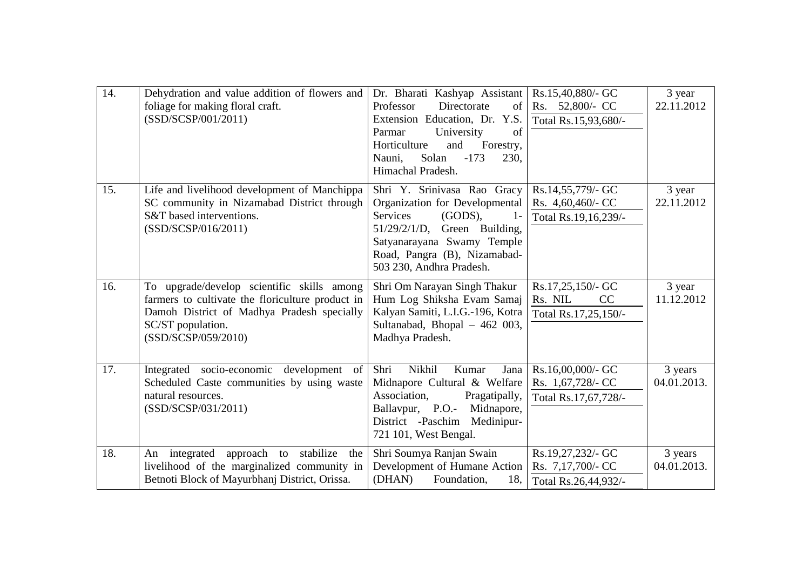| 14. | Dehydration and value addition of flowers and<br>foliage for making floral craft.<br>(SSD/SCSP/001/2011)                                                                                 | Dr. Bharati Kashyap Assistant<br>Professor<br>Directorate<br>of<br>Extension Education, Dr. Y.S.<br>Parmar<br>University<br>of<br>Horticulture<br>and<br>Forestry,<br>$-173$<br>Solan<br>Nauni,<br>230,<br>Himachal Pradesh.     | Rs.15,40,880/- GC<br>Rs. 52,800/- CC<br>Total Rs.15,93,680/-   | 3 year<br>22.11.2012   |
|-----|------------------------------------------------------------------------------------------------------------------------------------------------------------------------------------------|----------------------------------------------------------------------------------------------------------------------------------------------------------------------------------------------------------------------------------|----------------------------------------------------------------|------------------------|
| 15. | Life and livelihood development of Manchippa<br>SC community in Nizamabad District through<br>S&T based interventions.<br>(SSD/SCSP/016/2011)                                            | Shri Y. Srinivasa Rao Gracy<br>Organization for Developmental<br><b>Services</b><br>(GODS),<br>$1-$<br>$51/29/2/1/D$ , Green Building,<br>Satyanarayana Swamy Temple<br>Road, Pangra (B), Nizamabad-<br>503 230, Andhra Pradesh. | Rs.14,55,779/- GC<br>Rs. 4,60,460/- CC<br>Total Rs.19,16,239/- | 3 year<br>22.11.2012   |
| 16. | To upgrade/develop scientific skills among<br>farmers to cultivate the floriculture product in<br>Damoh District of Madhya Pradesh specially<br>SC/ST population.<br>(SSD/SCSP/059/2010) | Shri Om Narayan Singh Thakur<br>Hum Log Shiksha Evam Samaj<br>Kalyan Samiti, L.I.G.-196, Kotra<br>Sultanabad, Bhopal - 462 003,<br>Madhya Pradesh.                                                                               | Rs.17,25,150/- GC<br>Rs. NIL<br>CC<br>Total Rs.17,25,150/-     | 3 year<br>11.12.2012   |
| 17. | Integrated socio-economic development of<br>Scheduled Caste communities by using waste<br>natural resources.<br>(SSD/SCSP/031/2011)                                                      | Shri<br>Nikhil<br>Kumar<br>Jana<br>Midnapore Cultural & Welfare<br>Association,<br>Pragatipally,<br>Ballavpur, P.O.-<br>Midnapore,<br>District -Paschim Medinipur-<br>721 101, West Bengal.                                      | Rs.16,00,000/- GC<br>Rs. 1,67,728/- CC<br>Total Rs.17,67,728/- | 3 years<br>04.01.2013. |
| 18. | stabilize<br>integrated<br>approach to<br>An<br>the<br>livelihood of the marginalized community in<br>Betnoti Block of Mayurbhanj District, Orissa.                                      | Shri Soumya Ranjan Swain<br>Development of Humane Action<br>(DHAN)<br>Foundation,<br>18,                                                                                                                                         | Rs.19,27,232/- GC<br>Rs. 7,17,700/- CC<br>Total Rs.26,44,932/- | 3 years<br>04.01.2013. |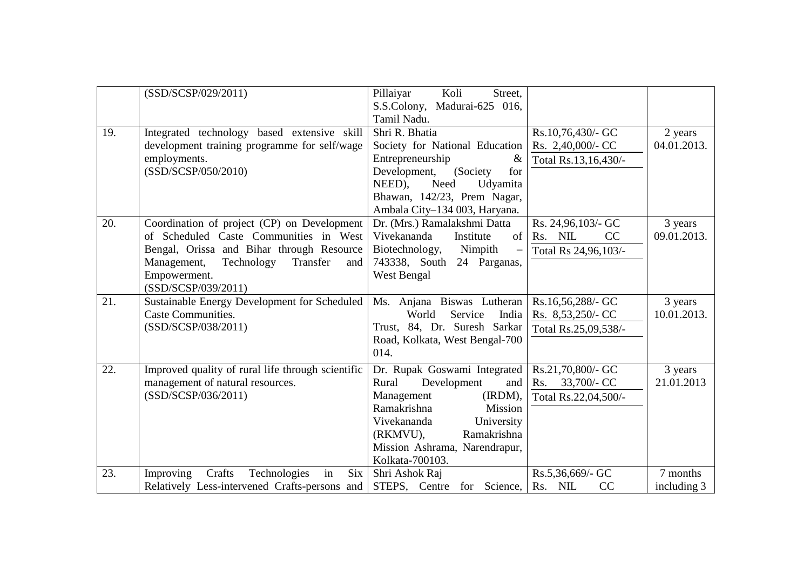|     | (SSD/SCSP/029/2011)                                          | Pillaiyar<br>Koli<br>Street.<br>S.S.Colony, Madurai-625 016, |                      |             |
|-----|--------------------------------------------------------------|--------------------------------------------------------------|----------------------|-------------|
| 19. | Integrated technology based extensive skill                  | Tamil Nadu.<br>Shri R. Bhatia                                | Rs.10,76,430/- GC    | 2 years     |
|     | development training programme for self/wage                 | Society for National Education                               | Rs. 2,40,000/- CC    | 04.01.2013. |
|     | employments.                                                 | Entrepreneurship<br>&                                        | Total Rs.13,16,430/- |             |
|     | (SSD/SCSP/050/2010)                                          | Development, (Society<br>for                                 |                      |             |
|     |                                                              | Need<br>NEED),<br>Udyamita                                   |                      |             |
|     |                                                              | Bhawan, 142/23, Prem Nagar,                                  |                      |             |
|     |                                                              | Ambala City-134 003, Haryana.                                |                      |             |
| 20. | Coordination of project (CP) on Development                  | Dr. (Mrs.) Ramalakshmi Datta                                 | Rs. 24,96,103/- GC   | 3 years     |
|     | of Scheduled Caste Communities in West                       | Vivekananda<br>of<br>Institute                               | CC<br>Rs. NIL        | 09.01.2013. |
|     | Bengal, Orissa and Bihar through Resource                    | Biotechnology,<br>Nimpith<br>$\overline{\phantom{0}}$        | Total Rs 24,96,103/- |             |
|     | Management,<br>Technology<br>Transfer<br>and<br>Empowerment. | 743338, South<br>24 Parganas,<br>West Bengal                 |                      |             |
|     | (SSD/SCSP/039/2011)                                          |                                                              |                      |             |
| 21. | Sustainable Energy Development for Scheduled                 | Ms. Anjana Biswas Lutheran                                   | Rs.16,56,288/- GC    | 3 years     |
|     | <b>Caste Communities.</b>                                    | Service<br>India<br>World                                    | Rs. 8,53,250/- CC    | 10.01.2013. |
|     | (SSD/SCSP/038/2011)                                          | Trust, 84, Dr. Suresh Sarkar                                 | Total Rs.25,09,538/- |             |
|     |                                                              | Road, Kolkata, West Bengal-700                               |                      |             |
|     |                                                              | 014.                                                         |                      |             |
| 22. | Improved quality of rural life through scientific            | Dr. Rupak Goswami Integrated                                 | Rs.21,70,800/- GC    | 3 years     |
|     | management of natural resources.                             | Development<br>Rural<br>and                                  | 33,700/- CC<br>Rs.   | 21.01.2013  |
|     | (SSD/SCSP/036/2011)                                          | Management<br>(IRDM),                                        | Total Rs.22,04,500/- |             |
|     |                                                              | Ramakrishna<br><b>Mission</b>                                |                      |             |
|     |                                                              | Vivekananda<br>University                                    |                      |             |
|     |                                                              | (RKMVU),<br>Ramakrishna                                      |                      |             |
|     |                                                              | Mission Ashrama, Narendrapur,<br>Kolkata-700103.             |                      |             |
| 23. | Improving<br>Crafts<br>Technologies<br>in<br>$Six \mid$      | Shri Ashok Raj                                               | Rs.5,36,669/- GC     | 7 months    |
|     | Relatively Less-intervened Crafts-persons and                | STEPS, Centre for Science,                                   | Rs. NIL<br>CC        | including 3 |